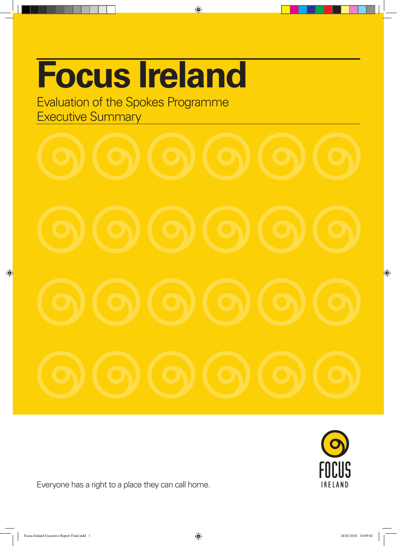

⊕



Everyone has a right to a place they can call home.

Focus Ireland Executive Report Final.indd 1 24/02/2010 10:09:02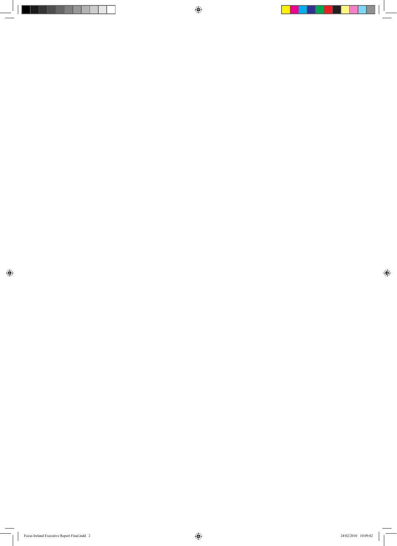

 $\equiv$  ( ) and a sequence of  $\equiv$ 

 $\bigoplus$ 

u L

 $\bigoplus$ 

<u>ng ng mga s</u>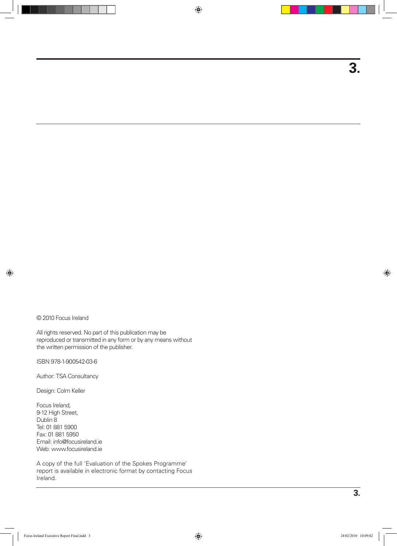$\bigoplus$ 

© 2010 Focus Ireland

 $\bigoplus$ 

All rights reserved. No part of this publication may be reproduced or transmitted in any form or by any means without the written permission of the publisher.

ISBN 978-1-900542-03-6

Author: TSA Consultancy

Design: Colm Keller

Focus Ireland, 9-12 High Street, Dublin 8 Tel: 01 881 5900 Fax: 01 881 5950 Email: info@focusireland.ie Web: www.focusireland.ie

A copy of the full 'Evaluation of the Spokes Programme' report is available in electronic format by contacting Focus Ireland.

**3.**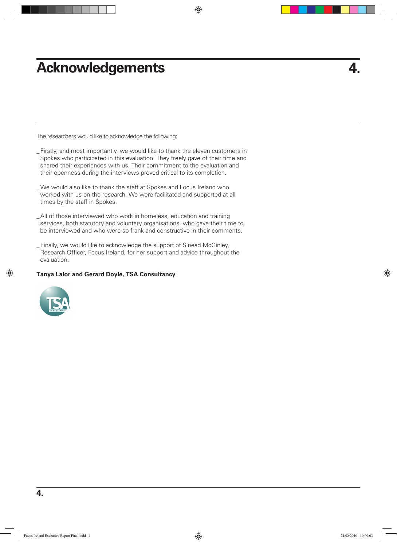## **Acknowledgements**

The researchers would like to acknowledge the following:

\_Firstly, and most importantly, we would like to thank the eleven customers in Spokes who participated in this evaluation. They freely gave of their time and shared their experiences with us. Their commitment to the evaluation and their openness during the interviews proved critical to its completion.

 $\bigoplus$ 

- \_We would also like to thank the staff at Spokes and Focus Ireland who worked with us on the research. We were facilitated and supported at all times by the staff in Spokes.
- \_All of those interviewed who work in homeless, education and training services, both statutory and voluntary organisations, who gave their time to be interviewed and who were so frank and constructive in their comments.
- Finally, we would like to acknowledge the support of Sinead McGinley, Research Officer, Focus Ireland, for her support and advice throughout the evaluation.

#### **Tanya Lalor and Gerard Doyle, TSA Consultancy**



◈

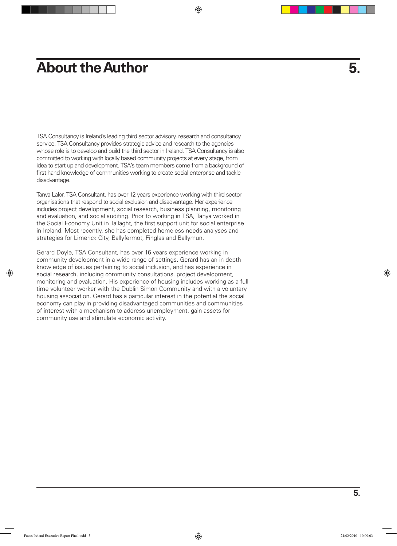### **About the Author**

**5.**

◈

TSA Consultancy is Ireland's leading third sector advisory, research and consultancy service. TSA Consultancy provides strategic advice and research to the agencies whose role is to develop and build the third sector in Ireland. TSA Consultancy is also committed to working with locally based community projects at every stage, from idea to start up and development. TSA's team members come from a background of first-hand knowledge of communities working to create social enterprise and tackle disadvantage.

⊕

Tanya Lalor, TSA Consultant, has over 12 years experience working with third sector organisations that respond to social exclusion and disadvantage. Her experience includes project development, social research, business planning, monitoring and evaluation, and social auditing. Prior to working in TSA, Tanya worked in the Social Economy Unit in Tallaght, the first support unit for social enterprise in Ireland. Most recently, she has completed homeless needs analyses and strategies for Limerick City, Ballyfermot, Finglas and Ballymun.

Gerard Doyle, TSA Consultant, has over 16 years experience working in community development in a wide range of settings. Gerard has an in-depth knowledge of issues pertaining to social inclusion, and has experience in social research, including community consultations, project development, monitoring and evaluation. His experience of housing includes working as a full time volunteer worker with the Dublin Simon Community and with a voluntary housing association. Gerard has a particular interest in the potential the social economy can play in providing disadvantaged communities and communities of interest with a mechanism to address unemployment, gain assets for community use and stimulate economic activity.

◈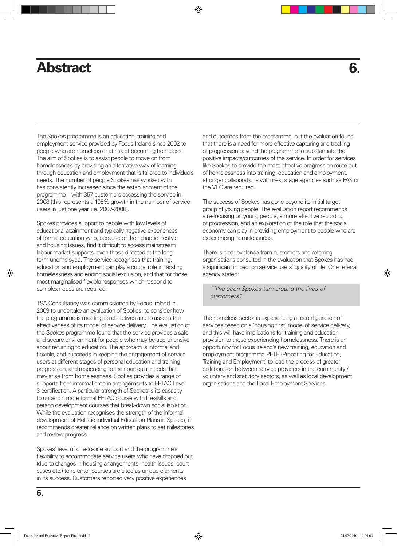### **Abstract**

### **6.**

◈

The Spokes programme is an education, training and employment service provided by Focus Ireland since 2002 to people who are homeless or at risk of becoming homeless. The aim of Spokes is to assist people to move on from homelessness by providing an alternative way of learning, through education and employment that is tailored to individuals needs. The number of people Spokes has worked with has consistently increased since the establishment of the programme – with 357 customers accessing the service in 2008 (this represents a 108% growth in the number of service users in just one year, i.e. 2007-2008).

Spokes provides support to people with low levels of educational attainment and typically negative experiences of formal education who, because of their chaotic lifestyle and housing issues, find it difficult to access mainstream labour market supports, even those directed at the longterm unemployed. The service recognises that training, education and employment can play a crucial role in tackling homelessness and ending social exclusion, and that for those most marginalised flexible responses which respond to complex needs are required.

TSA Consultancy was commissioned by Focus Ireland in 2009 to undertake an evaluation of Spokes, to consider how the programme is meeting its objectives and to assess the effectiveness of its model of service delivery. The evaluation of the Spokes programme found that the service provides a safe and secure environment for people who may be apprehensive about returning to education. The approach is informal and flexible, and succeeds in keeping the engagement of service users at different stages of personal education and training progression, and responding to their particular needs that may arise from homelessness. Spokes provides a range of supports from informal drop-in arrangements to FETAC Level 3 certification. A particular strength of Spokes is its capacity to underpin more formal FETAC course with life-skills and person development courses that break-down social isolation. While the evaluation recognises the strength of the informal development of Holistic Individual Education Plans in Spokes, it recommends greater reliance on written plans to set milestones and review progress.

Spokes' level of one-to-one support and the programme's flexibility to accommodate service users who have dropped out (due to changes in housing arrangements, health issues, court cases etc.) to re-enter courses are cited as unique elements in its success. Customers reported very positive experiences

and outcomes from the programme, but the evaluation found that there is a need for more effective capturing and tracking of progression beyond the programme to substantiate the positive impacts/outcomes of the service. In order for services like Spokes to provide the most effective progression route out of homelessness into training, education and employment, stronger collaborations with next stage agencies such as FAS or the VEC are required.

The success of Spokes has gone beyond its initial target group of young people. The evaluation report recommends a re-focusing on young people, a more effective recording of progression, and an exploration of the role that the social economy can play in providing employment to people who are experiencing homelessness.

There is clear evidence from customers and referring organisations consulted in the evaluation that Spokes has had a significant impact on service users' quality of life. One referral agency stated:

"'I've seen Spokes turn around the lives of customers".

The homeless sector is experiencing a reconfiguration of services based on a 'housing first' model of service delivery, and this will have implications for training and education provision to those experiencing homelessness. There is an opportunity for Focus Ireland's new training, education and employment programme PETE (Preparing for Education, Training and Employment) to lead the process of greater collaboration between service providers in the community / voluntary and statutory sectors, as well as local development organisations and the Local Employment Services.

◈

⊕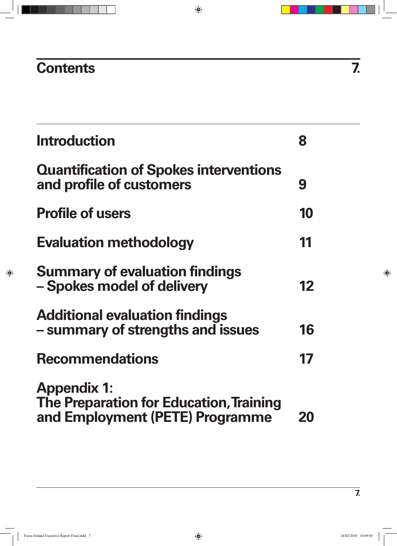## **Contents**

n di s

n di s

 $\Box$ 

 $\bigoplus$ 

| <b>Introduction</b>                                                                                     | 8  |
|---------------------------------------------------------------------------------------------------------|----|
| <b>Quantification of Spokes interventions</b><br>and profile of customers                               | 9  |
| <b>Profile of users</b>                                                                                 | 10 |
| <b>Evaluation methodology</b>                                                                           | 11 |
| <b>Summary of evaluation findings</b><br>- Spokes model of delivery                                     | 12 |
| <b>Additional evaluation findings</b><br>- summary of strengths and issues                              | 16 |
| <b>Recommendations</b>                                                                                  | 17 |
| <b>Appendix 1:</b><br><b>The Preparation for Education, Training</b><br>and Employment (PETE) Programme | 20 |

 $\bigcirc$ 

**7.**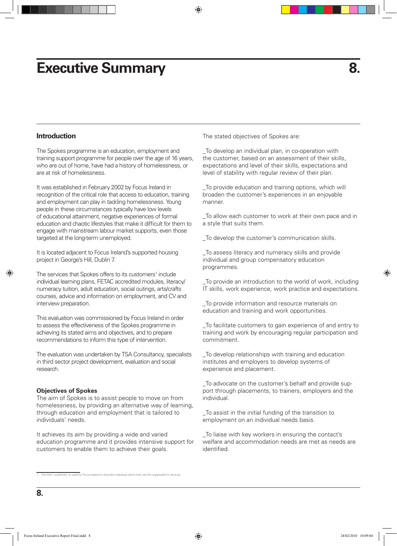## **Executive Summary**

### **8.**

◈

#### **Introduction**

♠

The Spokes programme is an education, employment and training support programme for people over the age of 16 years, who are out of home, have had a history of homelessness, or are at risk of homelessness.

It was established in February 2002 by Focus Ireland in recognition of the critical role that access to education, training and employment can play in tackling homelessness. Young people in these circumstances typically have low levels of educational attainment, negative experiences of formal education and chaotic lifestyles that make it difficult for them to engage with mainstream labour market supports, even those targeted at the long-term unemployed.

It is located adjacent to Focus Ireland's supported housing project in George's Hill, Dublin 7.

The services that Spokes offers to its customers $^1$  include individual learning plans, FETAC accredited modules, literacy/ numeracy tuition, adult education, social outings, arts/crafts courses, advice and information on employment, and CV and interview preparation.

This evaluation was commissioned by Focus Ireland in order to assess the effectiveness of the Spokes programme in achieving its stated aims and objectives, and to prepare recommendations to inform this type of intervention.

The evaluation was undertaken by TSA Consultancy, specialists in third sector project development, evaluation and social research.

#### **Objectives of Spokes**

The aim of Spokes is to assist people to move on from homelessness, by providing an alternative way of learning, through education and employment that is tailored to individuals' needs.

It achieves its aim by providing a wide and varied education programme and it provides intensive support for customers to enable them to achieve their goals.

The stated objectives of Spokes are:

⊕

\_To develop an individual plan, in co-operation with the customer, based on an assessment of their skills, expectations and level of their skills, expectations and level of stability with regular review of their plan.

\_To provide education and training options, which will broaden the customer's experiences in an enjoyable manner.

\_To allow each customer to work at their own pace and in a style that suits them.

\_To develop the customer's communication skills.

\_To assess literacy and numeracy skills and provide individual and group compensatory education programmes.

\_To provide an introduction to the world of work, including IT skills, work experience, work practice and expectations.

\_To provide information and resource materials on education and training and work opportunities.

\_To facilitate customers to gain experience of and entry to training and work by encouraging regular participation and commitment.

\_To develop relationships with training and education institutes and employers to develop systems of experience and placement.

\_To advocate on the customer's behalf and provide support through placements, to trainers, employers and the individual.

\_To assist in the initial funding of the transition to employment on an individual needs basis.

\_To liaise with key workers in ensuring the contact's welfare and accommodation needs are met as needs are identified.

1 The term 'customers' is used by Focus Ireland to describe individual clients that use the organisation's ser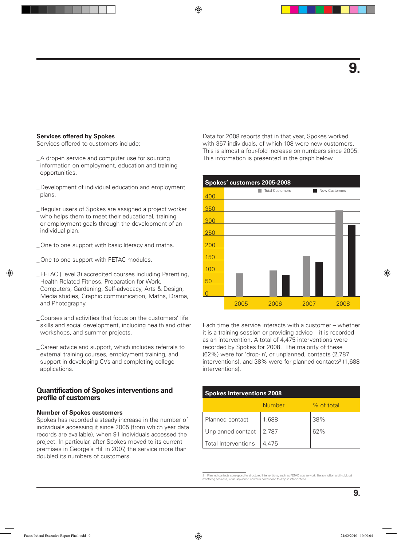#### **Services offered by Spokes**

Services offered to customers include:

- \_A drop-in service and computer use for sourcing information on employment, education and training opportunities.
- Development of individual education and employment plans.
- Regular users of Spokes are assigned a project worker who helps them to meet their educational, training or employment goals through the development of an individual plan.
- One to one support with basic literacy and maths.

One to one support with FETAC modules.

◈

- \_FETAC (Level 3) accredited courses including Parenting, Health Related Fitness, Preparation for Work, Computers, Gardening, Self-advocacy, Arts & Design, Media studies, Graphic communication, Maths, Drama, and Photography.
- \_Courses and activities that focus on the customers' life skills and social development, including health and other workshops, and summer projects.
- \_Career advice and support, which includes referrals to external training courses, employment training, and support in developing CVs and completing college applications.

#### **Quantification of Spokes interventions and profile of customers**

#### **Number of Spokes customers**

Spokes has recorded a steady increase in the number of individuals accessing it since 2005 (from which year data records are available), when 91 individuals accessed the project. In particular, after Spokes moved to its current premises in George's Hill in 2007, the service more than doubled its numbers of customers.

Data for 2008 reports that in that year, Spokes worked with 357 individuals, of which 108 were new customers. This is almost a four-fold increase on numbers since 2005. This information is presented in the graph below.



Each time the service interacts with a customer – whether it is a training session or providing advice – it is recorded as an intervention. A total of 4,475 interventions were recorded by Spokes for 2008. The majority of these (62%) were for 'drop-in', or unplanned, contacts (2,787 interventions), and 38% were for planned contacts<sup>2</sup> (1,688 interventions).

| <b>Spokes Interventions 2008</b> |        |            |  |  |
|----------------------------------|--------|------------|--|--|
|                                  | Number | % of total |  |  |
| Planned contact                  | 1,688  | 38%        |  |  |
| Unplanned contact                | 2,787  | 62%        |  |  |
| <b>Total Interventions</b>       | 4.475  |            |  |  |

2 Planned contacts correspond to structured interventions, such as FETAC course work, literacy tuition and individual sions, while unplanned contacts correspond to drop-in interventions

**9.**

◈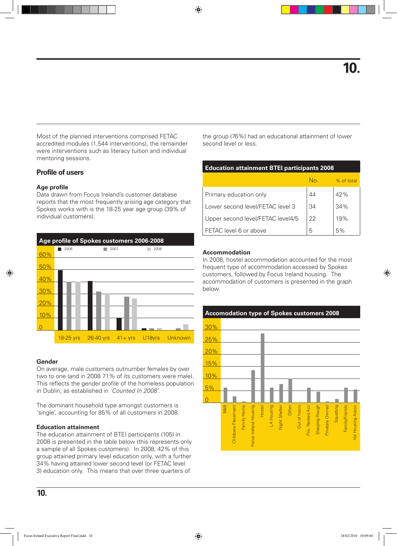◈

Most of the planned interventions comprised FETAC accredited modules (1,544 interventions), the remainder were interventions such as literacy tuition and individual mentoring sessions.

#### **Profile of users**

#### **Age profile**

Data drawn from Focus Ireland's customer database reports that the most frequently arising age category that Spokes works with is the 18-25 year age group (39% of individual customers).



#### **Gender**

◈

On average, male customers outnumber females by over two to one (and in 2008 71% of its customers were male). This reflects the gender profile of the homeless population in Dublin, as established in 'Counted In 2008'.

The dominant household type amongst customers is 'single', accounting for 85% of all customers in 2008.

#### **Education attainment**

The education attainment of BTEI participants (105) in 2008 is presented in the table below (this represents only a sample of all Spokes customers). In 2008, 42% of this group attained primary level education only, with a further 34% having attained lower second level (or FETAC level 3) education only. This means that over three quarters of

the group (76%) had an educational attainment of lower second level or less.

#### **Education attainment BTEI participants 2008**

|                                   | No | % of total |
|-----------------------------------|----|------------|
| Primary education only            | 44 | 42%        |
| Lower second level/FETAC level 3  | 34 | 34%        |
| Upper second level/FETAC level4/5 | 22 | 19%        |
| FETAC level 6 or above            | 5  | 5%         |

#### **Accommodation**

◈

In 2008, hostel accommodation accounted for the most frequent type of accommodation accessed by Spokes customers, followed by Focus Ireland housing. The accommodation of customers is presented in the graph below.

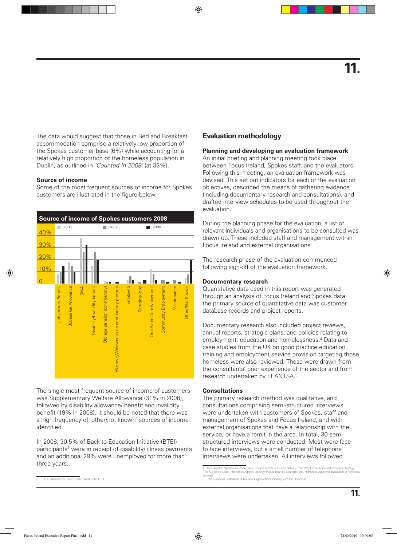The data would suggest that those in Bed and Breakfast accommodation comprise a relatively low proportion of the Spokes customer base (6%) while accounting for a relatively high proportion of the homeless population in Dublin, as outlined in 'Counted In 2008' (at 33%).

#### **Source of income**

◈

Some of the most frequent sources of income for Spokes customers are illustrated in the figure below.



The single most frequent source of income of customers was Supplementary Welfare Allowance (31% in 2008), followed by disability allowance/ benefit and invalidity benefit (19% in 2008). It should be noted that there was a high frequency of 'other/not known' sources of income identified.

In 2008, 30.5% of Back to Education Initiative (BTEI) participants<sup>3</sup> were in receipt of disability/ illness payments and an additional 29% were unemployed for more than three years.

3 105 customers of Spokes participated in the BTEI.

#### **Evaluation methodology**

⊕

#### **Planning and developing an evaluation framework**

An initial briefing and planning meeting took place between Focus Ireland, Spokes staff, and the evaluators. Following this meeting, an evaluation framework was devised. This set out indicators for each of the evaluation objectives, described the means of gathering evidence (including documentary research and consultations), and drafted interview schedules to be used throughout the evaluation.

During the planning phase for the evaluation, a list of relevant individuals and organisations to be consulted was drawn up. These included staff and management within Focus Ireland and external organisations.

The research phase of the evaluation commenced following sign-off of the evaluation framework.

#### **Documentary research**

Quantitative data used in this report was generated through an analysis of Focus Ireland and Spokes data: the primary source of quantitative data was customer database records and project reports.

Documentary research also included project reviews, annual reports, strategic plans, and policies relating to employment, education and homelessness.4 Data and case studies from the UK on good practice education, training and employment service provision targeting those homeless were also reviewed. These were drawn from the consultants' prior experience of the sector and from research undertaken by FEANTSA.5

#### **Consultations**

The primary research method was qualitative, and consultations comprising semi-structured interviews were undertaken with customers of Spokes, staff and management of Spokes and Focus Ireland, and with external organisations that have a relationship with the service, or have a remit in the area. In total, 30 semistructured interviews were conducted. Most were face to face interviews, but a small number of telephone interviews were undertaken. All interviews followed

4 Including the Spokes induction pack; Spokes model of service delivery, 'The Way Home' National Homeless Strategy,<br>'The Key to the Door', Homeless Agency strategy, Focus Ireland's Strategic Plan, Homeless Agency's 'Eval services'. 5 The European Federation of National Organisations Working with the Homeless.

**11.**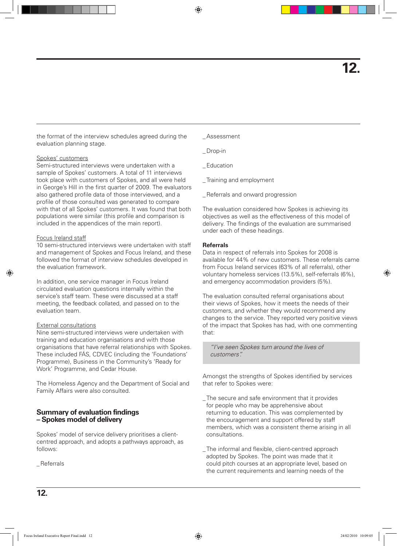◈

the format of the interview schedules agreed during the evaluation planning stage.

#### Spokes' customers

Semi-structured interviews were undertaken with a sample of Spokes' customers. A total of 11 interviews took place with customers of Spokes, and all were held in George's Hill in the first quarter of 2009. The evaluators also gathered profile data of those interviewed, and a profile of those consulted was generated to compare with that of all Spokes' customers. It was found that both populations were similar (this profile and comparison is included in the appendices of the main report).

#### Focus Ireland staff

◈

10 semi-structured interviews were undertaken with staff and management of Spokes and Focus Ireland, and these followed the format of interview schedules developed in the evaluation framework.

In addition, one service manager in Focus Ireland circulated evaluation questions internally within the service's staff team. These were discussed at a staff meeting, the feedback collated, and passed on to the evaluation team.

#### External consultations

Nine semi-structured interviews were undertaken with training and education organisations and with those organisations that have referral relationships with Spokes. These included FÁS, CDVEC (including the 'Foundations' Programme), Business in the Community's 'Ready for Work' Programme, and Cedar House.

The Homeless Agency and the Department of Social and Family Affairs were also consulted.

#### **Summary of evaluation findings – Spokes model of delivery**

Spokes' model of service delivery prioritises a clientcentred approach, and adopts a pathways approach, as follows:

\_Referrals

- \_Assessment
- \_Drop-in

⊕

- **Education**
- \_Training and employment
- \_Referrals and onward progression

The evaluation considered how Spokes is achieving its objectives as well as the effectiveness of this model of delivery. The findings of the evaluation are summarised under each of these headings.

#### **Referrals**

Data in respect of referrals into Spokes for 2008 is available for 44% of new customers. These referrals came from Focus Ireland services (63% of all referrals), other voluntary homeless services (13.5%), self-referrals (6%), and emergency accommodation providers (5%).

The evaluation consulted referral organisations about their views of Spokes, how it meets the needs of their customers, and whether they would recommend any changes to the service. They reported very positive views of the impact that Spokes has had, with one commenting that:

"I've seen Spokes turn around the lives of customers".

Amongst the strengths of Spokes identified by services that refer to Spokes were:

- \_The secure and safe environment that it provides for people who may be apprehensive about returning to education. This was complemented by the encouragement and support offered by staff members, which was a consistent theme arising in all consultations.
- \_The informal and flexible, client-centred approach adopted by Spokes. The point was made that it could pitch courses at an appropriate level, based on the current requirements and learning needs of the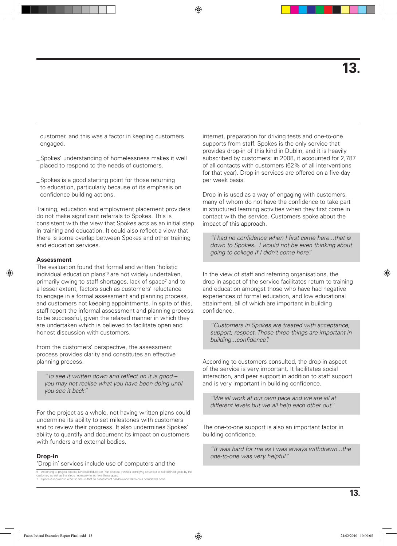customer, and this was a factor in keeping customers engaged.

\_Spokes' understanding of homelessness makes it well placed to respond to the needs of customers.

Spokes is a good starting point for those returning to education, particularly because of its emphasis on confidence-building actions.

Training, education and employment placement providers do not make significant referrals to Spokes. This is consistent with the view that Spokes acts as an initial step in training and education. It could also reflect a view that there is some overlap between Spokes and other training and education services.

#### **Assessment**

♠

The evaluation found that formal and written 'holistic individual education plans'6 are not widely undertaken, primarily owing to staff shortages, lack of space<sup>7</sup> and to a lesser extent, factors such as customers' reluctance to engage in a formal assessment and planning process, and customers not keeping appointments. In spite of this, staff report the informal assessment and planning process to be successful, given the relaxed manner in which they are undertaken which is believed to facilitate open and honest discussion with customers.

From the customers' perspective, the assessment process provides clarity and constitutes an effective planning process.

"To see it written down and reflect on it is good – you may not realise what you have been doing until you see it back".

For the project as a whole, not having written plans could undermine its ability to set milestones with customers and to review their progress. It also undermines Spokes' ability to quantify and document its impact on customers with funders and external bodies.

#### **Drop-in**

'Drop-in' services include use of computers and the

6 According to project reports, a Holistic Education Plan process involves identifying a number of self-defined goals by the<br>customer, as well as the steps necessary to achieve these goals.<br>7 Space is required in order

internet, preparation for driving tests and one-to-one supports from staff. Spokes is the only service that provides drop-in of this kind in Dublin, and it is heavily subscribed by customers: in 2008, it accounted for 2,787 of all contacts with customers (62% of all interventions for that year). Drop-in services are offered on a five-day per week basis.

Drop-in is used as a way of engaging with customers, many of whom do not have the confidence to take part in structured learning activities when they first come in contact with the service. Customers spoke about the impact of this approach.

"I had no confidence when I first came here...that is down to Spokes. I would not be even thinking about going to college if I didn't come here".

In the view of staff and referring organisations, the drop-in aspect of the service facilitates return to training and education amongst those who have had negative experiences of formal education, and low educational attainment, all of which are important in building confidence.

"Customers in Spokes are treated with acceptance, support, respect. These three things are important in building...confidence".

According to customers consulted, the drop-in aspect of the service is very important. It facilitates social interaction, and peer support in addition to staff support and is very important in building confidence.

"We all work at our own pace and we are all at different levels but we all help each other out".

The one-to-one support is also an important factor in building confidence.

"It was hard for me as I was always withdrawn...the one-to-one was very helpful".

**13.**

◈

⊕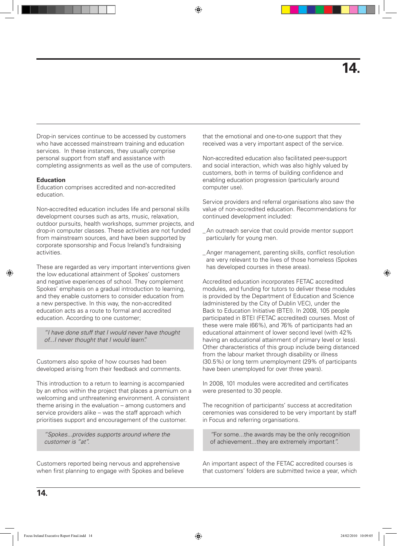◈

Drop-in services continue to be accessed by customers who have accessed mainstream training and education services. In these instances, they usually comprise personal support from staff and assistance with completing assignments as well as the use of computers.

#### **Education**

Education comprises accredited and non-accredited education.

Non-accredited education includes life and personal skills development courses such as arts, music, relaxation, outdoor pursuits, health workshops, summer projects, and drop-in computer classes. These activities are not funded from mainstream sources, and have been supported by corporate sponsorship and Focus Ireland's fundraising activities.

These are regarded as very important interventions given the low educational attainment of Spokes' customers and negative experiences of school. They complement Spokes' emphasis on a gradual introduction to learning, and they enable customers to consider education from a new perspective. In this way, the non-accredited education acts as a route to formal and accredited education. According to one customer;

"I have done stuff that I would never have thought of...I never thought that I would learn".

Customers also spoke of how courses had been developed arising from their feedback and comments.

This introduction to a return to learning is accompanied by an ethos within the project that places a premium on a welcoming and unthreatening environment. A consistent theme arising in the evaluation – among customers and service providers alike – was the staff approach which prioritises support and encouragement of the customer.

"Spokes...provides supports around where the customer is "at''.

Customers reported being nervous and apprehensive when first planning to engage with Spokes and believe that the emotional and one-to-one support that they received was a very important aspect of the service.

⊕

Non-accredited education also facilitated peer-support and social interaction, which was also highly valued by customers, both in terms of building confidence and enabling education progression (particularly around computer use).

Service providers and referral organisations also saw the value of non-accredited education. Recommendations for continued development included:

- An outreach service that could provide mentor support particularly for young men.
- \_Anger management, parenting skills, conflict resolution are very relevant to the lives of those homeless (Spokes has developed courses in these areas).

Accredited education incorporates FETAC accredited modules, and funding for tutors to deliver these modules is provided by the Department of Education and Science (administered by the City of Dublin VEC), under the Back to Education Initiative (BTEI). In 2008, 105 people participated in BTEI (FETAC accredited) courses. Most of these were male (66%), and 76% of participants had an educational attainment of lower second level (with 42% having an educational attainment of primary level or less). Other characteristics of this group include being distanced from the labour market through disability or illness (30.5%) or long term unemployment (29% of participants have been unemployed for over three years).

In 2008, 101 modules were accredited and certificates were presented to 30 people.

The recognition of participants' success at accreditation ceremonies was considered to be very important by staff in Focus and referring organisations.

"For some...the awards may be the only recognition of achievement...they are extremely important''.

An important aspect of the FETAC accredited courses is that customers' folders are submitted twice a year, which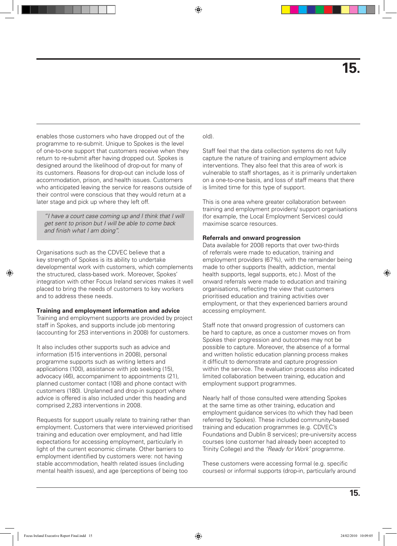enables those customers who have dropped out of the programme to re-submit. Unique to Spokes is the level of one-to-one support that customers receive when they return to re-submit after having dropped out. Spokes is designed around the likelihood of drop-out for many of its customers. Reasons for drop-out can include loss of accommodation, prison, and health issues. Customers who anticipated leaving the service for reasons outside of their control were conscious that they would return at a later stage and pick up where they left off.

"I have a court case coming up and I think that I will get sent to prison but I will be able to come back and finish what I am doing''.

Organisations such as the CDVEC believe that a key strength of Spokes is its ability to undertake developmental work with customers, which complements the structured, class-based work. Moreover, Spokes' integration with other Focus Ireland services makes it well placed to bring the needs of customers to key workers and to address these needs.

#### **Training and employment information and advice**

Training and employment supports are provided by project staff in Spokes, and supports include job mentoring (accounting for 253 interventions in 2008) for customers.

It also includes other supports such as advice and information (515 interventions in 2008), personal programme supports such as writing letters and applications (100), assistance with job seeking (15), advocacy (46), accompaniment to appointments (21), planned customer contact (108) and phone contact with customers (180). Unplanned and drop-in support where advice is offered is also included under this heading and comprised 2,283 interventions in 2008.

Requests for support usually relate to training rather than employment. Customers that were interviewed prioritised training and education over employment, and had little expectations for accessing employment, particularly in light of the current economic climate. Other barriers to employment identified by customers were: not having stable accommodation, health related issues (including mental health issues), and age (perceptions of being too

#### old).

⊕

Staff feel that the data collection systems do not fully capture the nature of training and employment advice interventions. They also feel that this area of work is vulnerable to staff shortages, as it is primarily undertaken on a one-to-one basis, and loss of staff means that there is limited time for this type of support.

This is one area where greater collaboration between training and employment providers/ support organisations (for example, the Local Employment Services) could maximise scarce resources.

#### **Referrals and onward progression**

Data available for 2008 reports that over two-thirds of referrals were made to education, training and employment providers (67%), with the remainder being made to other supports (health, addiction, mental health supports, legal supports, etc.). Most of the onward referrals were made to education and training organisations, reflecting the view that customers prioritised education and training activities over employment, or that they experienced barriers around accessing employment.

Staff note that onward progression of customers can be hard to capture, as once a customer moves on from Spokes their progression and outcomes may not be possible to capture. Moreover, the absence of a formal and written holistic education planning process makes it difficult to demonstrate and capture progression within the service. The evaluation process also indicated limited collaboration between training, education and employment support programmes.

Nearly half of those consulted were attending Spokes at the same time as other training, education and employment guidance services (to which they had been referred by Spokes). These included community-based training and education programmes (e.g. CDVEC's Foundations and Dublin 8 services); pre-university access courses (one customer had already been accepted to Trinity College) and the 'Ready for Work' programme.

These customers were accessing formal (e.g. specific courses) or informal supports (drop-in, particularly around

**15.**

◈

♠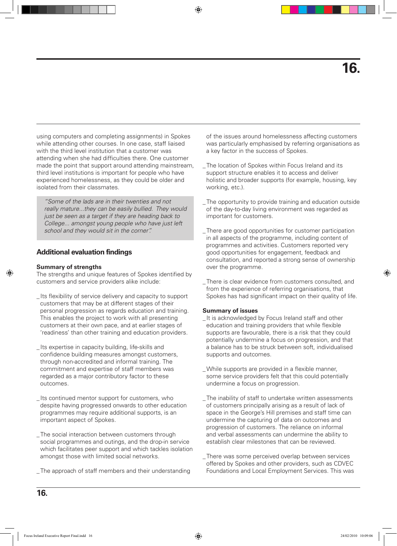◈

using computers and completing assignments) in Spokes while attending other courses. In one case, staff liaised with the third level institution that a customer was attending when she had difficulties there. One customer made the point that support around attending mainstream, third level institutions is important for people who have experienced homelessness, as they could be older and isolated from their classmates.

"Some of the lads are in their twenties and not really mature...they can be easily bullied. They would just be seen as a target if they are heading back to College... amongst young people who have just left school and they would sit in the corner".

#### **Additional evaluation findings**

#### **Summary of strengths**

The strengths and unique features of Spokes identified by customers and service providers alike include:

- \_ Its flexibility of service delivery and capacity to support customers that may be at different stages of their personal progression as regards education and training. This enables the project to work with all presenting customers at their own pace, and at earlier stages of 'readiness' than other training and education providers.
- \_ Its expertise in capacity building, life-skills and confidence building measures amongst customers, through non-accredited and informal training. The commitment and expertise of staff members was regarded as a major contributory factor to these outcomes.
- \_ Its continued mentor support for customers, who despite having progressed onwards to other education programmes may require additional supports, is an important aspect of Spokes.
- \_The social interaction between customers through social programmes and outings, and the drop-in service which facilitates peer support and which tackles isolation amongst those with limited social networks.
- \_The approach of staff members and their understanding

of the issues around homelessness affecting customers was particularly emphasised by referring organisations as a key factor in the success of Spokes.

- The location of Spokes within Focus Ireland and its support structure enables it to access and deliver holistic and broader supports (for example, housing, key working, etc.).
- \_The opportunity to provide training and education outside of the day-to-day living environment was regarded as important for customers.
- There are good opportunities for customer participation in all aspects of the programme, including content of programmes and activities. Customers reported very good opportunities for engagement, feedback and consultation, and reported a strong sense of ownership over the programme.
- \_There is clear evidence from customers consulted, and from the experience of referring organisations, that Spokes has had significant impact on their quality of life.

#### **Summary of issues**

⊕

- \_It is acknowledged by Focus Ireland staff and other education and training providers that while flexible supports are favourable, there is a risk that they could potentially undermine a focus on progression, and that a balance has to be struck between soft, individualised supports and outcomes.
- \_While supports are provided in a flexible manner, some service providers felt that this could potentially undermine a focus on progression.
- \_The inability of staff to undertake written assessments of customers principally arising as a result of lack of space in the George's Hill premises and staff time can undermine the capturing of data on outcomes and progression of customers. The reliance on informal and verbal assessments can undermine the ability to establish clear milestones that can be reviewed.
- \_There was some perceived overlap between services offered by Spokes and other providers, such as CDVEC Foundations and Local Employment Services. This was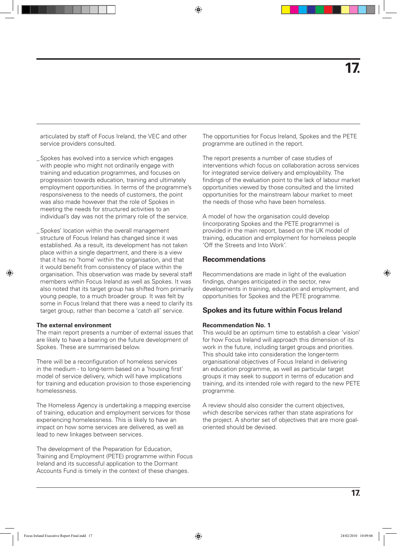◈

articulated by staff of Focus Ireland, the VEC and other service providers consulted.

\_Spokes has evolved into a service which engages with people who might not ordinarily engage with training and education programmes, and focuses on progression towards education, training and ultimately employment opportunities. In terms of the programme's responsiveness to the needs of customers, the point was also made however that the role of Spokes in meeting the needs for structured activities to an individual's day was not the primary role of the service.

\_Spokes' location within the overall management structure of Focus Ireland has changed since it was established. As a result, its development has not taken place within a single department, and there is a view that it has no 'home' within the organisation, and that it would benefit from consistency of place within the organisation. This observation was made by several staff members within Focus Ireland as well as Spokes. It was also noted that its target group has shifted from primarily young people, to a much broader group. It was felt by some in Focus Ireland that there was a need to clarify its target group, rather than become a 'catch all' service.

#### **The external environment**

◈

The main report presents a number of external issues that are likely to have a bearing on the future development of Spokes. These are summarised below.

There will be a reconfiguration of homeless services in the medium - to long-term based on a 'housing first' model of service delivery, which will have implications for training and education provision to those experiencing homelessness.

The Homeless Agency is undertaking a mapping exercise of training, education and employment services for those experiencing homelessness. This is likely to have an impact on how some services are delivered, as well as lead to new linkages between services.

The development of the Preparation for Education, Training and Employment (PETE) programme within Focus Ireland and its successful application to the Dormant Accounts Fund is timely in the context of these changes.

The opportunities for Focus Ireland, Spokes and the PETE programme are outlined in the report.

The report presents a number of case studies of interventions which focus on collaboration across services for integrated service delivery and employability. The findings of the evaluation point to the lack of labour market opportunities viewed by those consulted and the limited opportunities for the mainstream labour market to meet the needs of those who have been homeless.

A model of how the organisation could develop (incorporating Spokes and the PETE programme) is provided in the main report, based on the UK model of training, education and employment for homeless people 'Off the Streets and Into Work'.

#### **Recommendations**

⊕

Recommendations are made in light of the evaluation findings, changes anticipated in the sector, new developments in training, education and employment, and opportunities for Spokes and the PETE programme.

#### **Spokes and its future within Focus Ireland**

#### **Recommendation No. 1**

This would be an optimum time to establish a clear 'vision' for how Focus Ireland will approach this dimension of its work in the future, including target groups and priorities. This should take into consideration the longer-term organisational objectives of Focus Ireland in delivering an education programme, as well as particular target groups it may seek to support in terms of education and training, and its intended role with regard to the new PETE programme.

A review should also consider the current objectives, which describe services rather than state aspirations for the project. A shorter set of objectives that are more goaloriented should be devised.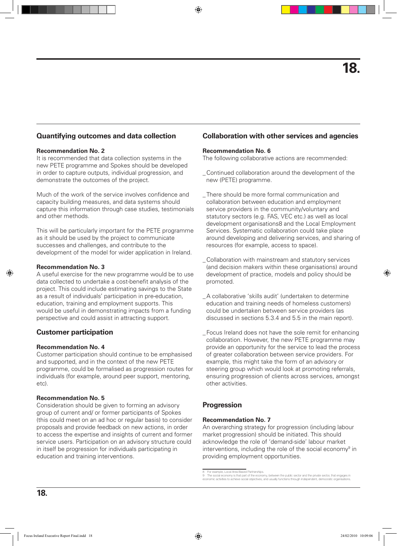◈

#### **Quantifying outcomes and data collection**

#### **Recommendation No. 2**

It is recommended that data collection systems in the new PETE programme and Spokes should be developed in order to capture outputs, individual progression, and demonstrate the outcomes of the project.

Much of the work of the service involves confidence and capacity building measures, and data systems should capture this information through case studies, testimonials and other methods.

This will be particularly important for the PETE programme as it should be used by the project to communicate successes and challenges, and contribute to the development of the model for wider application in Ireland.

#### **Recommendation No. 3**

A useful exercise for the new programme would be to use data collected to undertake a cost-benefit analysis of the project. This could include estimating savings to the State as a result of individuals' participation in pre-education, education, training and employment supports. This would be useful in demonstrating impacts from a funding perspective and could assist in attracting support.

#### **Customer participation**

#### **Recommendation No. 4**

Customer participation should continue to be emphasised and supported, and in the context of the new PETE programme, could be formalised as progression routes for individuals (for example, around peer support, mentoring, etc).

#### **Recommendation No. 5**

Consideration should be given to forming an advisory group of current and/ or former participants of Spokes (this could meet on an ad hoc or regular basis) to consider proposals and provide feedback on new actions, in order to access the expertise and insights of current and former service users. Participation on an advisory structure could in itself be progression for individuals participating in education and training interventions.

#### **Collaboration with other services and agencies**

#### **Recommendation No. 6**

⊕

The following collaborative actions are recommended:

- \_Continued collaboration around the development of the new (PETE) programme.
- \_There should be more formal communication and collaboration between education and employment service providers in the community/voluntary and statutory sectors (e.g. FAS, VEC etc.) as well as local development organisations8 and the Local Employment Services. Systematic collaboration could take place around developing and delivering services, and sharing of resources (for example, access to space).
- \_Collaboration with mainstream and statutory services (and decision makers within these organisations) around development of practice, models and policy should be promoted.
- \_A collaborative 'skills audit' (undertaken to determine education and training needs of homeless customers) could be undertaken between service providers (as discussed in sections 5.3.4 and 5.5 in the main report).
- \_Focus Ireland does not have the sole remit for enhancing collaboration. However, the new PETE programme may provide an opportunity for the service to lead the process of greater collaboration between service providers. For example, this might take the form of an advisory or steering group which would look at promoting referrals, ensuring progression of clients across services, amongst other activities.

#### **Progression**

#### **Recommendation No. 7**

An overarching strategy for progression (including labour market progression) should be initiated. This should acknowledge the role of 'demand-side' labour market interventions, including the role of the social economy<sup>9</sup> in providing employment opportunities.

8 For example, Local Area Based Partnerships. 9 The social economy is that part of the economy, between the public sector and the private sector, that engages in

mic activities to achieve social objectives, and usually functions through independent, democratic organisation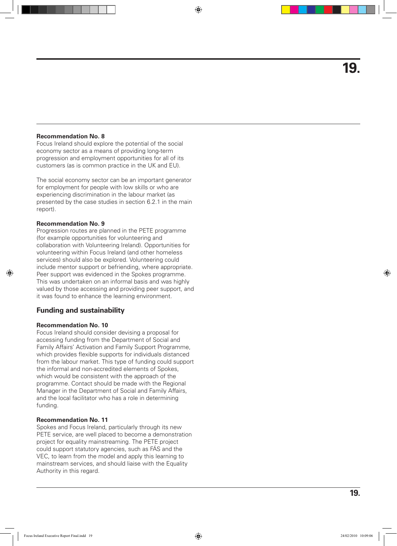#### **Recommendation No. 8**

Focus Ireland should explore the potential of the social economy sector as a means of providing long-term progression and employment opportunities for all of its customers (as is common practice in the UK and EU).

The social economy sector can be an important generator for employment for people with low skills or who are experiencing discrimination in the labour market (as presented by the case studies in section 6.2.1 in the main report).

#### **Recommendation No. 9**

◈

Progression routes are planned in the PETE programme (for example opportunities for volunteering and collaboration with Volunteering Ireland). Opportunities for volunteering within Focus Ireland (and other homeless services) should also be explored. Volunteering could include mentor support or befriending, where appropriate. Peer support was evidenced in the Spokes programme. This was undertaken on an informal basis and was highly valued by those accessing and providing peer support, and it was found to enhance the learning environment.

#### **Funding and sustainability**

#### **Recommendation No. 10**

Focus Ireland should consider devising a proposal for accessing funding from the Department of Social and Family Affairs' Activation and Family Support Programme, which provides flexible supports for individuals distanced from the labour market. This type of funding could support the informal and non-accredited elements of Spokes, which would be consistent with the approach of the programme. Contact should be made with the Regional Manager in the Department of Social and Family Affairs, and the local facilitator who has a role in determining funding.

#### **Recommendation No. 11**

Spokes and Focus Ireland, particularly through its new PETE service, are well placed to become a demonstration project for equality mainstreaming. The PETE project could support statutory agencies, such as FÁS and the VEC, to learn from the model and apply this learning to mainstream services, and should liaise with the Equality Authority in this regard.

**19.**

◈

⊕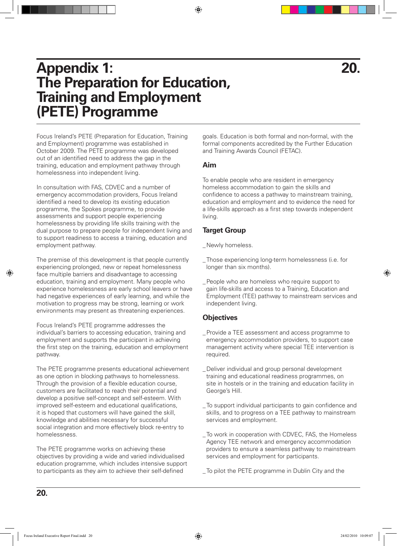◈

### **Appendix 1: The Preparation for Education, Training and Employment (PETE) Programme**

Focus Ireland's PETE (Preparation for Education, Training and Employment) programme was established in October 2009. The PETE programme was developed out of an identified need to address the gap in the training, education and employment pathway through homelessness into independent living.

In consultation with FAS, CDVEC and a number of emergency accommodation providers, Focus Ireland identified a need to develop its existing education programme, the Spokes programme, to provide assessments and support people experiencing homelessness by providing life skills training with the dual purpose to prepare people for independent living and to support readiness to access a training, education and employment pathway.

The premise of this development is that people currently experiencing prolonged, new or repeat homelessness face multiple barriers and disadvantage to accessing education, training and employment. Many people who experience homelessness are early school leavers or have had negative experiences of early learning, and while the motivation to progress may be strong, learning or work environments may present as threatening experiences.

Focus Ireland's PETE programme addresses the individual's barriers to accessing education, training and employment and supports the participant in achieving the first step on the training, education and employment pathway.

The PETE programme presents educational achievement as one option in blocking pathways to homelessness. Through the provision of a flexible education course, customers are facilitated to reach their potential and develop a positive self-concept and self-esteem. With improved self-esteem and educational qualifications, it is hoped that customers will have gained the skill, knowledge and abilities necessary for successful social integration and more effectively block re-entry to homelessness.

The PETE programme works on achieving these objectives by providing a wide and varied individualised education programme, which includes intensive support to participants as they aim to achieve their self-defined

goals. Education is both formal and non-formal, with the formal components accredited by the Further Education and Training Awards Council (FETAC).

#### **Aim**

⊕

To enable people who are resident in emergency homeless accommodation to gain the skills and confidence to access a pathway to mainstream training, education and employment and to evidence the need for a life-skills approach as a first step towards independent living.

#### **Target Group**

Newly homeless.

\_Those experiencing long-term homelessness (i.e. for longer than six months).

\_People who are homeless who require support to gain life-skills and access to a Training, Education and Employment (TEE) pathway to mainstream services and independent living.

#### **Objectives**

- \_Provide a TEE assessment and access programme to emergency accommodation providers, to support case management activity where special TEE intervention is required.
- \_Deliver individual and group personal development training and educational readiness programmes, on site in hostels or in the training and education facility in George's Hill.
- \_To support individual participants to gain confidence and skills, and to progress on a TEE pathway to mainstream services and employment.
- \_To work in cooperation with CDVEC, FAS, the Homeless Agency TEE network and emergency accommodation providers to ensure a seamless pathway to mainstream services and employment for participants.
- \_To pilot the PETE programme in Dublin City and the

**20.**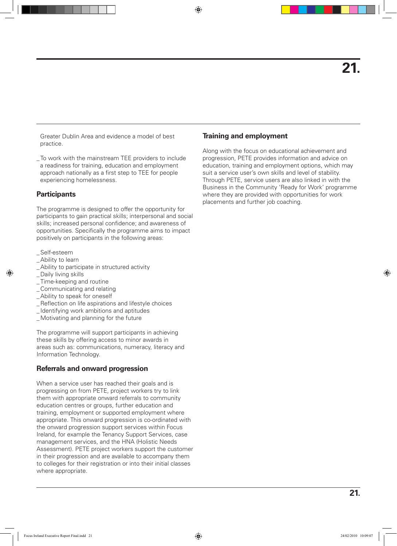Greater Dublin Area and evidence a model of best practice.

\_To work with the mainstream TEE providers to include a readiness for training, education and employment approach nationally as a first step to TEE for people experiencing homelessness.

#### **Participants**

The programme is designed to offer the opportunity for participants to gain practical skills; interpersonal and social skills; increased personal confidence; and awareness of opportunities. Specifically the programme aims to impact positively on participants in the following areas:

- \_Self-esteem
- \_Ability to learn

◈

- Ability to participate in structured activity
- \_Daily living skills
- \_Time-keeping and routine
- \_Communicating and relating
- \_Ability to speak for oneself
- \_Reflection on life aspirations and lifestyle choices
- \_ Identifying work ambitions and aptitudes
- \_Motivating and planning for the future

The programme will support participants in achieving these skills by offering access to minor awards in areas such as: communications, numeracy, literacy and Information Technology.

#### **Referrals and onward progression**

When a service user has reached their goals and is progressing on from PETE, project workers try to link them with appropriate onward referrals to community education centres or groups, further education and training, employment or supported employment where appropriate. This onward progression is co-ordinated with the onward progression support services within Focus Ireland, for example the Tenancy Support Services, case management services, and the HNA (Holistic Needs Assessment). PETE project workers support the customer in their progression and are available to accompany them to colleges for their registration or into their initial classes where appropriate.

#### **Training and employment**

⊕

Along with the focus on educational achievement and progression, PETE provides information and advice on education, training and employment options, which may suit a service user's own skills and level of stability. Through PETE, service users are also linked in with the Business in the Community 'Ready for Work' programme where they are provided with opportunities for work placements and further job coaching.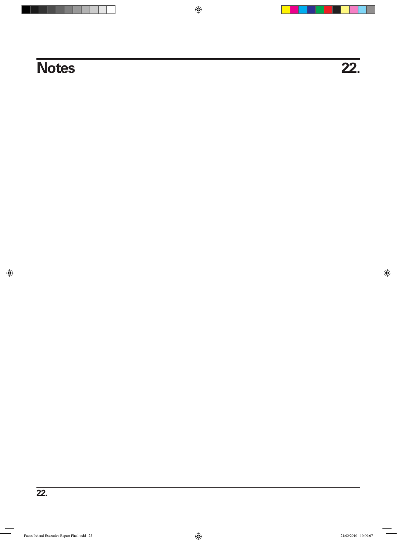# **22. Notes**

 $\bigcirc$ 

 $\bigoplus$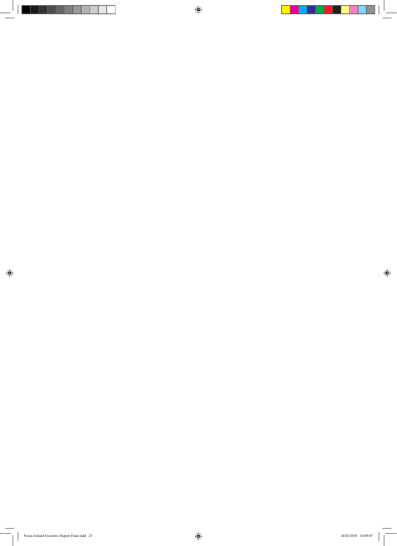

 $\equiv$  ( ) and a sequence of  $\equiv$ 

 $\bigoplus$ 

 $\bigoplus$ 

 $\blacksquare$ 

 $\bigoplus$ 

<u> De Biblio</u>